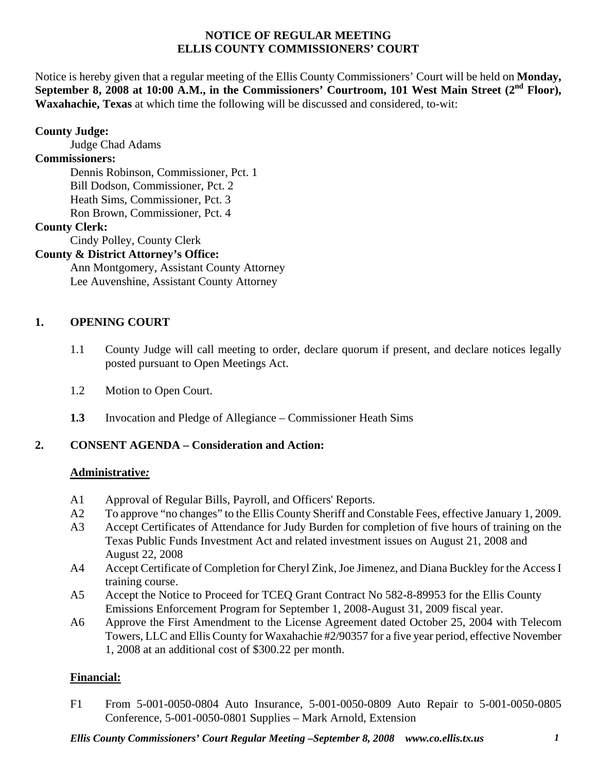#### **NOTICE OF REGULAR MEETING ELLIS COUNTY COMMISSIONERS' COURT**

Notice is hereby given that a regular meeting of the Ellis County Commissioners' Court will be held on **Monday,**  September 8, 2008 at 10:00 A.M., in the Commissioners' Courtroom, 101 West Main Street (2<sup>nd</sup> Floor), **Waxahachie, Texas** at which time the following will be discussed and considered, to-wit:

# **County Judge:**

Judge Chad Adams

### **Commissioners:**

 Dennis Robinson, Commissioner, Pct. 1 Bill Dodson, Commissioner, Pct. 2 Heath Sims, Commissioner, Pct. 3 Ron Brown, Commissioner, Pct. 4

# **County Clerk:**

Cindy Polley, County Clerk

# **County & District Attorney's Office:**

 Ann Montgomery, Assistant County Attorney Lee Auvenshine, Assistant County Attorney

# **1. OPENING COURT**

- 1.1 County Judge will call meeting to order, declare quorum if present, and declare notices legally posted pursuant to Open Meetings Act.
- 1.2 Motion to Open Court.
- **1.3** Invocation and Pledge of Allegiance Commissioner Heath Sims

# **2. CONSENT AGENDA – Consideration and Action:**

### **Administrative***:*

- A1 Approval of Regular Bills, Payroll, and Officers' Reports.
- A2 To approve "no changes" to the Ellis County Sheriff and Constable Fees, effective January 1, 2009.
- A3 Accept Certificates of Attendance for Judy Burden for completion of five hours of training on the Texas Public Funds Investment Act and related investment issues on August 21, 2008 and August 22, 2008
- A4 Accept Certificate of Completion for Cheryl Zink, Joe Jimenez, and Diana Buckley for the Access I training course.
- A5 Accept the Notice to Proceed for TCEQ Grant Contract No 582-8-89953 for the Ellis County Emissions Enforcement Program for September 1, 2008-August 31, 2009 fiscal year.
- A6 Approve the First Amendment to the License Agreement dated October 25, 2004 with Telecom Towers, LLC and Ellis County for Waxahachie #2/90357 for a five year period, effective November 1, 2008 at an additional cost of \$300.22 per month.

# **Financial:**

F1 From 5-001-0050-0804 Auto Insurance, 5-001-0050-0809 Auto Repair to 5-001-0050-0805 Conference, 5-001-0050-0801 Supplies – Mark Arnold, Extension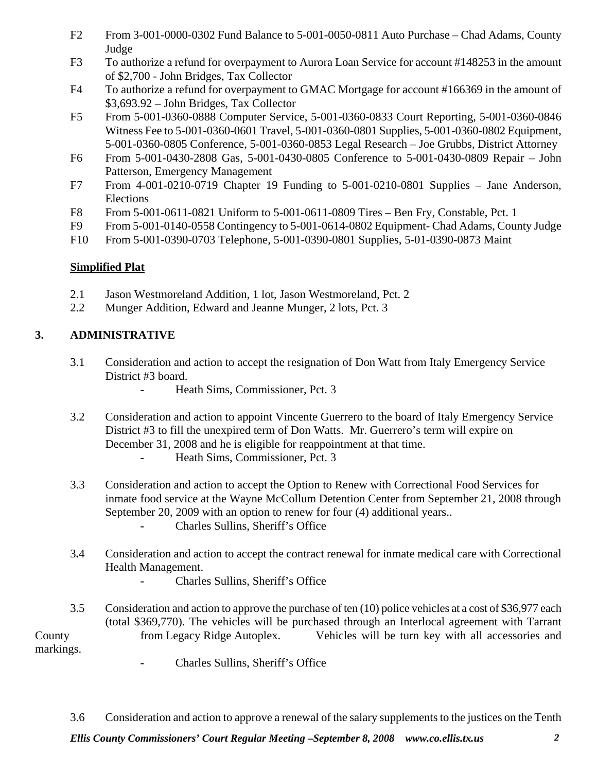- F2 From 3-001-0000-0302 Fund Balance to 5-001-0050-0811 Auto Purchase Chad Adams, County Judge
- F3 To authorize a refund for overpayment to Aurora Loan Service for account #148253 in the amount of \$2,700 - John Bridges, Tax Collector
- F4 To authorize a refund for overpayment to GMAC Mortgage for account #166369 in the amount of \$3,693.92 – John Bridges, Tax Collector
- F5 From 5-001-0360-0888 Computer Service, 5-001-0360-0833 Court Reporting, 5-001-0360-0846 Witness Fee to 5-001-0360-0601 Travel, 5-001-0360-0801 Supplies, 5-001-0360-0802 Equipment, 5-001-0360-0805 Conference, 5-001-0360-0853 Legal Research – Joe Grubbs, District Attorney
- F6 From 5-001-0430-2808 Gas, 5-001-0430-0805 Conference to 5-001-0430-0809 Repair John Patterson, Emergency Management
- F7 From 4-001-0210-0719 Chapter 19 Funding to 5-001-0210-0801 Supplies Jane Anderson, Elections
- F8 From 5-001-0611-0821 Uniform to 5-001-0611-0809 Tires Ben Fry, Constable, Pct. 1
- F9 From 5-001-0140-0558 Contingency to 5-001-0614-0802 Equipment- Chad Adams, County Judge
- F10 From 5-001-0390-0703 Telephone, 5-001-0390-0801 Supplies, 5-01-0390-0873 Maint

# **Simplified Plat**

- 2.1 Jason Westmoreland Addition, 1 lot, Jason Westmoreland, Pct. 2
- 2.2 Munger Addition, Edward and Jeanne Munger, 2 lots, Pct. 3

# **3. ADMINISTRATIVE**

- 3.1 Consideration and action to accept the resignation of Don Watt from Italy Emergency Service District #3 board.
	- Heath Sims, Commissioner, Pct. 3
- 3.2 Consideration and action to appoint Vincente Guerrero to the board of Italy Emergency Service District #3 to fill the unexpired term of Don Watts. Mr. Guerrero's term will expire on December 31, 2008 and he is eligible for reappointment at that time.
	- Heath Sims, Commissioner, Pct. 3
- 3.3 Consideration and action to accept the Option to Renew with Correctional Food Services for inmate food service at the Wayne McCollum Detention Center from September 21, 2008 through September 20, 2009 with an option to renew for four  $(4)$  additional years.. Charles Sullins, Sheriff's Office
- 3**.**4 Consideration and action to accept the contract renewal for inmate medical care with Correctional Health Management.
	- Charles Sullins, Sheriff's Office

 3.5 Consideration and action to approve the purchase of ten (10) police vehicles at a cost of \$36,977 each (total \$369,770). The vehicles will be purchased through an Interlocal agreement with Tarrant County from Legacy Ridge Autoplex. Vehicles will be turn key with all accessories and markings.

**-** Charles Sullins, Sheriff's Office

3.6 Consideration and action to approve a renewal of the salary supplements to the justices on the Tenth

*Ellis County Commissioners' Court Regular Meeting –September 8, 2008 www.co.ellis.tx.us 2*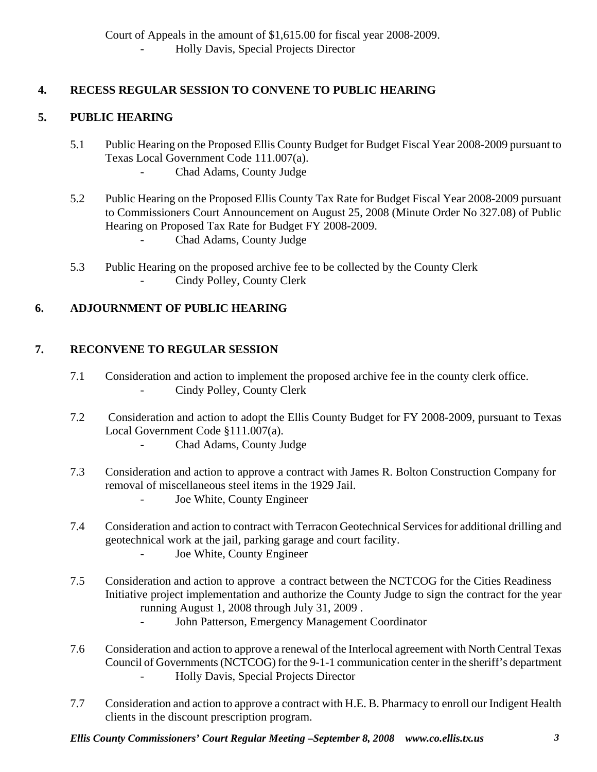- Holly Davis, Special Projects Director

# **4. RECESS REGULAR SESSION TO CONVENE TO PUBLIC HEARING**

# **5. PUBLIC HEARING**

- 5.1 Public Hearing on the Proposed Ellis County Budget for Budget Fiscal Year 2008-2009 pursuant to Texas Local Government Code 111.007(a).
	- Chad Adams, County Judge
- 5.2 Public Hearing on the Proposed Ellis County Tax Rate for Budget Fiscal Year 2008-2009 pursuant to Commissioners Court Announcement on August 25, 2008 (Minute Order No 327.08) of Public Hearing on Proposed Tax Rate for Budget FY 2008-2009. - Chad Adams, County Judge
- 5.3 Public Hearing on the proposed archive fee to be collected by the County Clerk - Cindy Polley, County Clerk

# **6. ADJOURNMENT OF PUBLIC HEARING**

# **7. RECONVENE TO REGULAR SESSION**

- 7.1 Consideration and action to implement the proposed archive fee in the county clerk office. Cindy Polley, County Clerk
- 7.2 Consideration and action to adopt the Ellis County Budget for FY 2008-2009, pursuant to Texas Local Government Code §111.007(a).
	- Chad Adams, County Judge
- 7.3 Consideration and action to approve a contract with James R. Bolton Construction Company for removal of miscellaneous steel items in the 1929 Jail.
	- Joe White, County Engineer
- 7.4 Consideration and action to contract with Terracon Geotechnical Services for additional drilling and geotechnical work at the jail, parking garage and court facility. - Joe White, County Engineer
- 7.5 Consideration and action to approve a contract between the NCTCOG for the Cities Readiness Initiative project implementation and authorize the County Judge to sign the contract for the year running August 1, 2008 through July 31, 2009 .
	- John Patterson, Emergency Management Coordinator
- 7.6 Consideration and action to approve a renewal of the Interlocal agreement with North Central Texas Council of Governments (NCTCOG) for the 9-1-1 communication center in the sheriff's department - Holly Davis, Special Projects Director
- 7.7 Consideration and action to approve a contract with H.E. B. Pharmacy to enroll our Indigent Health clients in the discount prescription program.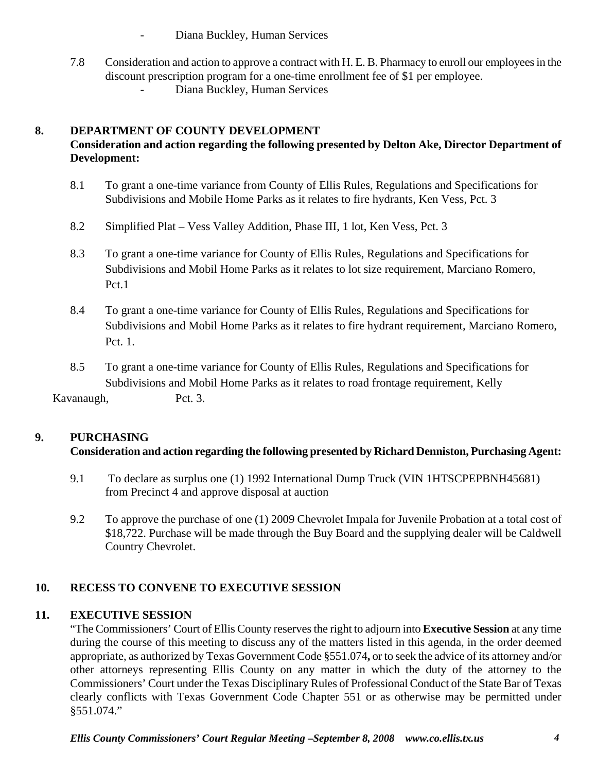- Diana Buckley, Human Services
- 7.8 Consideration and action to approve a contract with H. E. B. Pharmacy to enroll our employees in the discount prescription program for a one-time enrollment fee of \$1 per employee. Diana Buckley, Human Services

# **8. DEPARTMENT OF COUNTY DEVELOPMENT**

# **Consideration and action regarding the following presented by Delton Ake, Director Department of Development:**

- 8.1 To grant a one-time variance from County of Ellis Rules, Regulations and Specifications for Subdivisions and Mobile Home Parks as it relates to fire hydrants, Ken Vess, Pct. 3
- 8.2 Simplified Plat Vess Valley Addition, Phase III, 1 lot, Ken Vess, Pct. 3
- 8.3 To grant a one-time variance for County of Ellis Rules, Regulations and Specifications for Subdivisions and Mobil Home Parks as it relates to lot size requirement, Marciano Romero, Pct.1
- 8.4 To grant a one-time variance for County of Ellis Rules, Regulations and Specifications for Subdivisions and Mobil Home Parks as it relates to fire hydrant requirement, Marciano Romero, Pct. 1.
- 8.5 To grant a one-time variance for County of Ellis Rules, Regulations and Specifications for Subdivisions and Mobil Home Parks as it relates to road frontage requirement, Kelly

Kavanaugh, Pct. 3.

### **9. PURCHASING**

### **Consideration and action regarding the following presented by Richard Denniston, Purchasing Agent:**

- 9.1 To declare as surplus one (1) 1992 International Dump Truck (VIN 1HTSCPEPBNH45681) from Precinct 4 and approve disposal at auction
- 9.2 To approve the purchase of one (1) 2009 Chevrolet Impala for Juvenile Probation at a total cost of \$18,722. Purchase will be made through the Buy Board and the supplying dealer will be Caldwell Country Chevrolet.

# **10. RECESS TO CONVENE TO EXECUTIVE SESSION**

### **11. EXECUTIVE SESSION**

"The Commissioners' Court of Ellis County reserves the right to adjourn into **Executive Session** at any time during the course of this meeting to discuss any of the matters listed in this agenda, in the order deemed appropriate, as authorized by Texas Government Code §551.074**,** or to seek the advice of its attorney and/or other attorneys representing Ellis County on any matter in which the duty of the attorney to the Commissioners' Court under the Texas Disciplinary Rules of Professional Conduct of the State Bar of Texas clearly conflicts with Texas Government Code Chapter 551 or as otherwise may be permitted under §551.074."